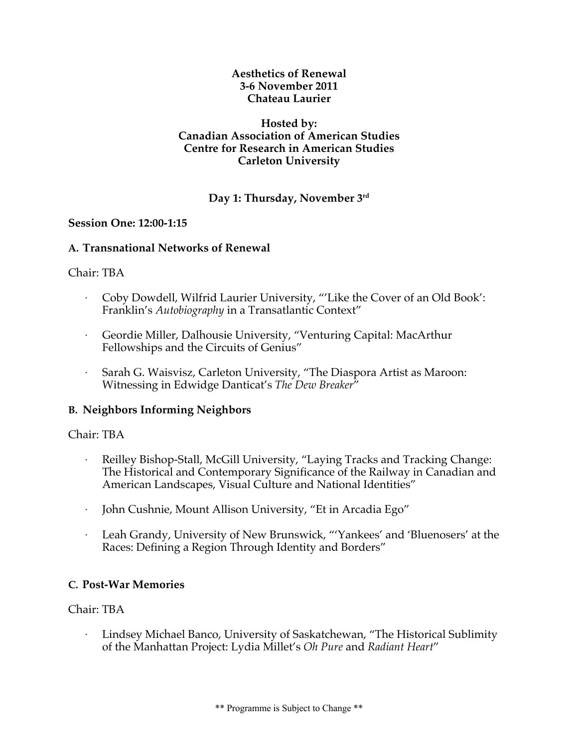**Aesthetics of Renewal 3-6 November 2011 Chateau Laurier**

#### **Hosted by: Canadian Association of American Studies Centre for Research in American Studies Carleton University**

## **Day 1: Thursday, November 3rd**

### **Session One: 12:00-1:15**

### **A. Transnational Networks of Renewal**

### Chair: TBA

- · Coby Dowdell, Wilfrid Laurier University, "'Like the Cover of an Old Book': Franklin's *Autobiography* in a Transatlantic Context"
- · Geordie Miller, Dalhousie University, "Venturing Capital: MacArthur Fellowships and the Circuits of Genius"
- Sarah G. Waisvisz, Carleton University, "The Diaspora Artist as Maroon: Witnessing in Edwidge Danticat's *The Dew Breaker*"

## **B. Neighbors Informing Neighbors**

#### Chair: TBA

- · Reilley Bishop-Stall, McGill University, "Laying Tracks and Tracking Change: The Historical and Contemporary Significance of the Railway in Canadian and American Landscapes, Visual Culture and National Identities"
- · John Cushnie, Mount Allison University, "Et in Arcadia Ego"
- · Leah Grandy, University of New Brunswick, "'Yankees' and 'Bluenosers' at the Races: Defining a Region Through Identity and Borders"

## **C. Post-War Memories**

## Chair: TBA

· Lindsey Michael Banco, University of Saskatchewan, "The Historical Sublimity of the Manhattan Project: Lydia Millet's *Oh Pure* and *Radiant Heart*"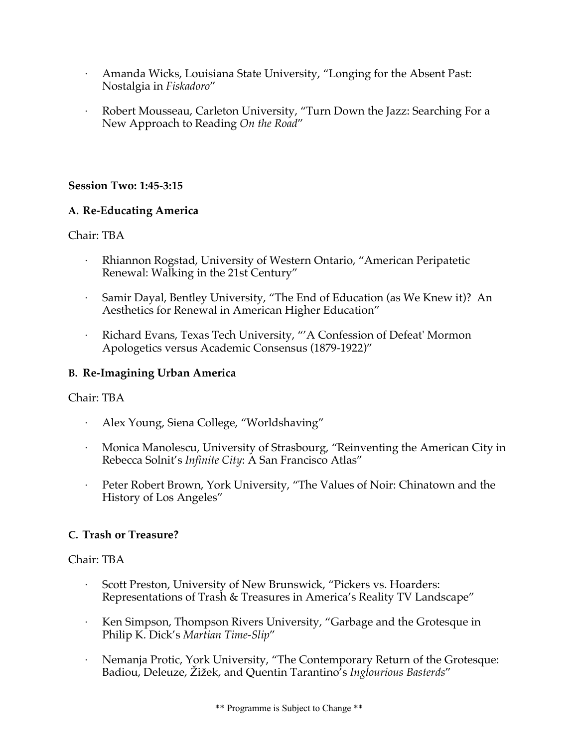- · Amanda Wicks, Louisiana State University, "Longing for the Absent Past: Nostalgia in *Fiskadoro*"
- · Robert Mousseau, Carleton University, "Turn Down the Jazz: Searching For a New Approach to Reading *On the Road*"

### **Session Two: 1:45-3:15**

### **A. Re-Educating America**

### Chair: TBA

- · Rhiannon Rogstad, University of Western Ontario, "American Peripatetic Renewal: Walking in the 21st Century"
- Samir Dayal, Bentley University, "The End of Education (as We Knew it)? An Aesthetics for Renewal in American Higher Education"
- · Richard Evans, Texas Tech University, "'A Confession of Defeat' Mormon Apologetics versus Academic Consensus (1879-1922)"

### **B. Re-Imagining Urban America**

#### Chair: TBA

- · Alex Young, Siena College, "Worldshaving"
- · Monica Manolescu, University of Strasbourg, "Reinventing the American City in Rebecca Solnit's *Infinite City*: A San Francisco Atlas"
- · Peter Robert Brown, York University, "The Values of Noir: Chinatown and the History of Los Angeles"

## **C. Trash or Treasure?**

- Scott Preston, University of New Brunswick, "Pickers vs. Hoarders: Representations of Trash & Treasures in America's Reality TV Landscape"
- · Ken Simpson, Thompson Rivers University, "Garbage and the Grotesque in Philip K. Dick's *Martian Time-Slip*"
- · Nemanja Protic, York University, "The Contemporary Return of the Grotesque: Badiou, Deleuze, Žižek, and Quentin Tarantino's *Inglourious Basterds*"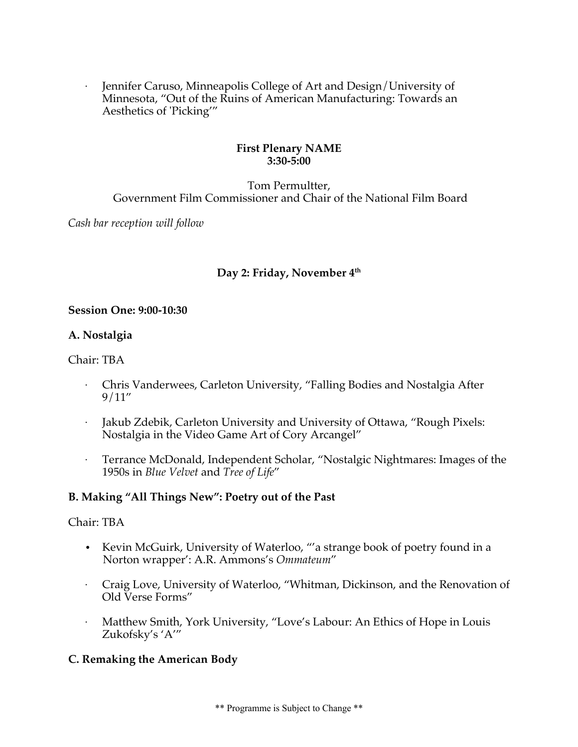· Jennifer Caruso, Minneapolis College of Art and Design/University of Minnesota, "Out of the Ruins of American Manufacturing: Towards an Aesthetics of 'Picking'"

### **First Plenary NAME 3:30-5:00**

## Tom Permultter, Government Film Commissioner and Chair of the National Film Board

*Cash bar reception will follow*

## Day 2: Friday, November 4<sup>th</sup>

### **Session One: 9:00-10:30**

## **A. Nostalgia**

Chair: TBA

- · Chris Vanderwees, Carleton University, "Falling Bodies and Nostalgia After 9/11"
- Jakub Zdebik, Carleton University and University of Ottawa, "Rough Pixels: Nostalgia in the Video Game Art of Cory Arcangel"
- · Terrance McDonald, Independent Scholar, "Nostalgic Nightmares: Images of the 1950s in *Blue Velvet* and *Tree of Life*"

## **B. Making "All Things New": Poetry out of the Past**

#### Chair: TBA

- Kevin McGuirk, University of Waterloo, "'a strange book of poetry found in a Norton wrapper': A.R. Ammons's *Ommateum*"
- · Craig Love, University of Waterloo, "Whitman, Dickinson, and the Renovation of Old Verse Forms"
- Matthew Smith, York University, "Love's Labour: An Ethics of Hope in Louis Zukofsky's 'A'"

## **C. Remaking the American Body**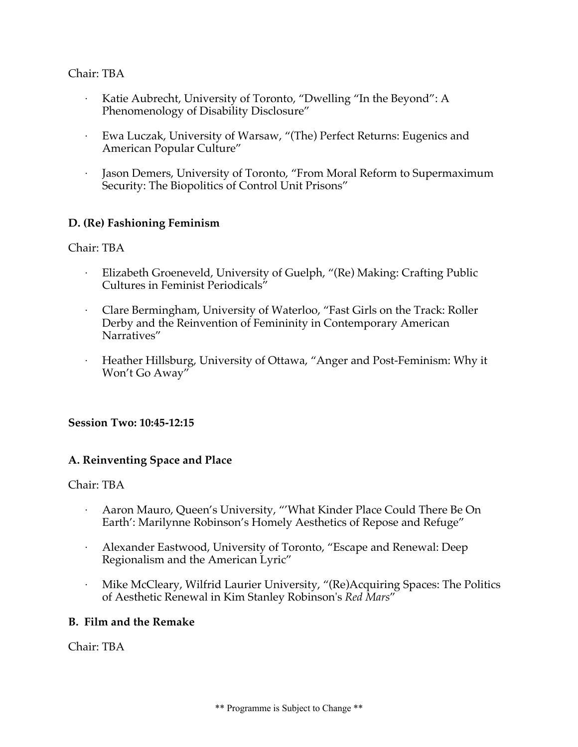## Chair: TBA

- Katie Aubrecht, University of Toronto, "Dwelling "In the Beyond": A Phenomenology of Disability Disclosure"
- · Ewa Luczak, University of Warsaw, "(The) Perfect Returns: Eugenics and American Popular Culture"
- Jason Demers, University of Toronto, "From Moral Reform to Supermaximum Security: The Biopolitics of Control Unit Prisons"

## **D. (Re) Fashioning Feminism**

Chair: TBA

- Elizabeth Groeneveld, University of Guelph, "(Re) Making: Crafting Public Cultures in Feminist Periodicals"
- · Clare Bermingham, University of Waterloo, "Fast Girls on the Track: Roller Derby and the Reinvention of Femininity in Contemporary American Narratives"
- · Heather Hillsburg, University of Ottawa, "Anger and Post-Feminism: Why it Won't Go Away"

## **Session Two: 10:45-12:15**

#### **A. Reinventing Space and Place**

#### Chair: TBA

- · Aaron Mauro, Queen's University, "'What Kinder Place Could There Be On Earth': Marilynne Robinson's Homely Aesthetics of Repose and Refuge"
- Alexander Eastwood, University of Toronto, "Escape and Renewal: Deep Regionalism and the American Lyric"
- · Mike McCleary, Wilfrid Laurier University, "(Re)Acquiring Spaces: The Politics of Aesthetic Renewal in Kim Stanley Robinson's *Red Mars*"

## **B. Film and the Remake**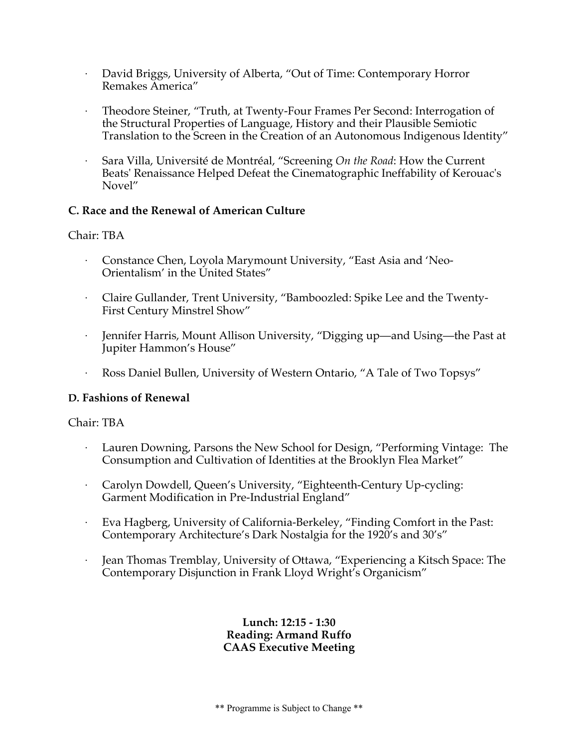- · David Briggs, University of Alberta, "Out of Time: Contemporary Horror Remakes America"
- · Theodore Steiner, "Truth, at Twenty-Four Frames Per Second: Interrogation of the Structural Properties of Language, History and their Plausible Semiotic Translation to the Screen in the Creation of an Autonomous Indigenous Identity"
- · Sara Villa, Université de Montréal, "Screening *On the Road*: How the Current Beats' Renaissance Helped Defeat the Cinematographic Ineffability of Kerouac's Novel"

## **C. Race and the Renewal of American Culture**

## Chair: TBA

- · Constance Chen, Loyola Marymount University, "East Asia and 'Neo-Orientalism' in the United States"
- · Claire Gullander, Trent University, "Bamboozled: Spike Lee and the Twenty-First Century Minstrel Show"
- · Jennifer Harris, Mount Allison University, "Digging up—and Using—the Past at Jupiter Hammon's House"
- · Ross Daniel Bullen, University of Western Ontario, "A Tale of Two Topsys"

## **D. Fashions of Renewal**

## Chair: TBA

- Lauren Downing, Parsons the New School for Design, "Performing Vintage: The Consumption and Cultivation of Identities at the Brooklyn Flea Market"
- · Carolyn Dowdell, Queen's University, "Eighteenth-Century Up-cycling: Garment Modification in Pre-Industrial England"
- · Eva Hagberg, University of California-Berkeley, "Finding Comfort in the Past: Contemporary Architecture's Dark Nostalgia for the 1920's and 30's"
- · Jean Thomas Tremblay, University of Ottawa, "Experiencing a Kitsch Space: The Contemporary Disjunction in Frank Lloyd Wright's Organicism"

### **Lunch: 12:15 - 1:30 Reading: Armand Ruffo CAAS Executive Meeting**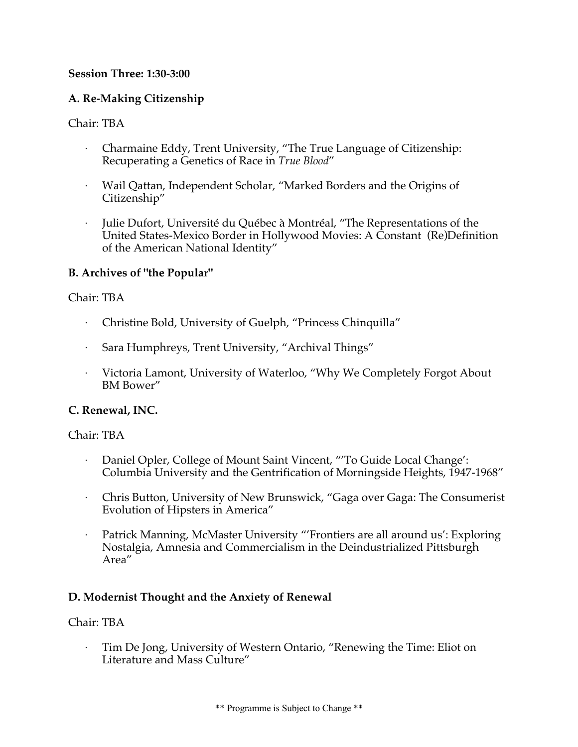## **Session Three: 1:30-3:00**

# **A. Re-Making Citizenship**

## Chair: TBA

- · Charmaine Eddy, Trent University, "The True Language of Citizenship: Recuperating a Genetics of Race in *True Blood*"
- · Wail Qattan, Independent Scholar, "Marked Borders and the Origins of Citizenship"
- · Julie Dufort, Université du Québec à Montréal, "The Representations of the United States-Mexico Border in Hollywood Movies: A Constant (Re)Definition of the American National Identity"

# **B. Archives of "the Popular"**

## Chair: TBA

- · Christine Bold, University of Guelph, "Princess Chinquilla"
- · Sara Humphreys, Trent University, "Archival Things"
- · Victoria Lamont, University of Waterloo, "Why We Completely Forgot About BM Bower"

# **C. Renewal, INC.**

## Chair: TBA

- · Daniel Opler, College of Mount Saint Vincent, "'To Guide Local Change': Columbia University and the Gentrification of Morningside Heights, 1947-1968"
- · Chris Button, University of New Brunswick, "Gaga over Gaga: The Consumerist Evolution of Hipsters in America"
- Patrick Manning, McMaster University "'Frontiers are all around us': Exploring Nostalgia, Amnesia and Commercialism in the Deindustrialized Pittsburgh Area"

# **D. Modernist Thought and the Anxiety of Renewal**

## Chair: TBA

Tim De Jong, University of Western Ontario, "Renewing the Time: Eliot on Literature and Mass Culture"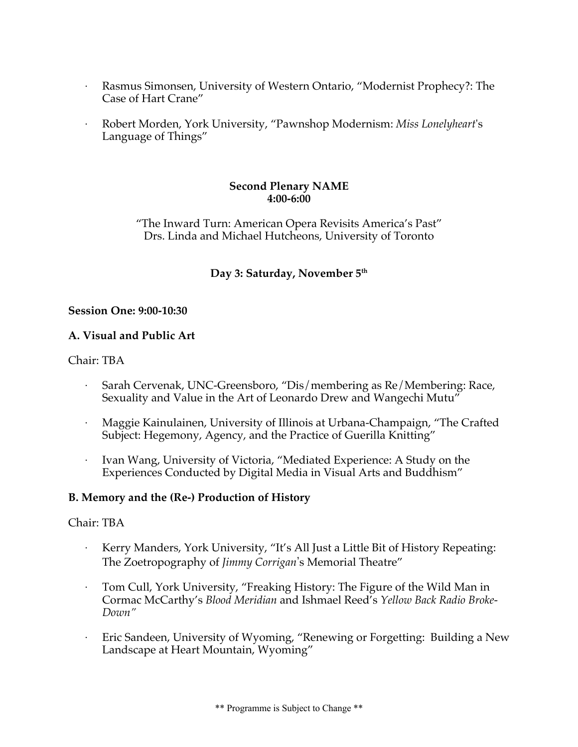- · Rasmus Simonsen, University of Western Ontario, "Modernist Prophecy?: The Case of Hart Crane"
- · Robert Morden, York University, "Pawnshop Modernism: *Miss Lonelyheart*'s Language of Things"

### **Second Plenary NAME 4:00-6:00**

"The Inward Turn: American Opera Revisits America's Past" Drs. Linda and Michael Hutcheons, University of Toronto

# **Day 3: Saturday, November 5th**

## **Session One: 9:00-10:30**

## **A. Visual and Public Art**

Chair: TBA

- · Sarah Cervenak, UNC-Greensboro, "Dis/membering as Re/Membering: Race, Sexuality and Value in the Art of Leonardo Drew and Wangechi Mutu"
- · Maggie Kainulainen, University of Illinois at Urbana-Champaign, "The Crafted Subject: Hegemony, Agency, and the Practice of Guerilla Knitting"
- · Ivan Wang, University of Victoria, "Mediated Experience: A Study on the Experiences Conducted by Digital Media in Visual Arts and Buddhism"

## **B. Memory and the (Re-) Production of History**

- Kerry Manders, York University, "It's All Just a Little Bit of History Repeating: The Zoetropography of *Jimmy Corrigan*'s Memorial Theatre"
- · Tom Cull, York University, "Freaking History: The Figure of the Wild Man in Cormac McCarthy's *Blood Meridian* and Ishmael Reed's *Yellow Back Radio Broke-Down"*
- · Eric Sandeen, University of Wyoming, "Renewing or Forgetting: Building a New Landscape at Heart Mountain, Wyoming"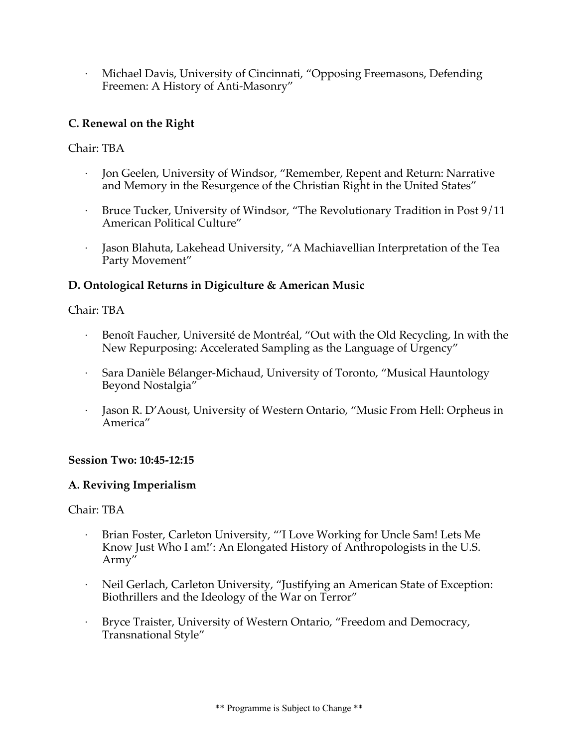Michael Davis, University of Cincinnati, "Opposing Freemasons, Defending Freemen: A History of Anti-Masonry"

## **C. Renewal on the Right**

## Chair: TBA

- Jon Geelen, University of Windsor, "Remember, Repent and Return: Narrative and Memory in the Resurgence of the Christian Right in the United States"
- · Bruce Tucker, University of Windsor, "The Revolutionary Tradition in Post 9/11 American Political Culture"
- Jason Blahuta, Lakehead University, "A Machiavellian Interpretation of the Tea Party Movement"

## **D. Ontological Returns in Digiculture & American Music**

## Chair: TBA

- · Benoît Faucher, Université de Montréal, "Out with the Old Recycling, In with the New Repurposing: Accelerated Sampling as the Language of Urgency"
- Sara Danièle Bélanger-Michaud, University of Toronto, "Musical Hauntology Beyond Nostalgia"
- · Jason R. D'Aoust, University of Western Ontario, "Music From Hell: Orpheus in America"

## **Session Two: 10:45-12:15**

## **A. Reviving Imperialism**

- Brian Foster, Carleton University, "'I Love Working for Uncle Sam! Lets Me Know Just Who I am!': An Elongated History of Anthropologists in the U.S. Army"
- · Neil Gerlach, Carleton University, "Justifying an American State of Exception: Biothrillers and the Ideology of the War on Terror"
- Bryce Traister, University of Western Ontario, "Freedom and Democracy, Transnational Style"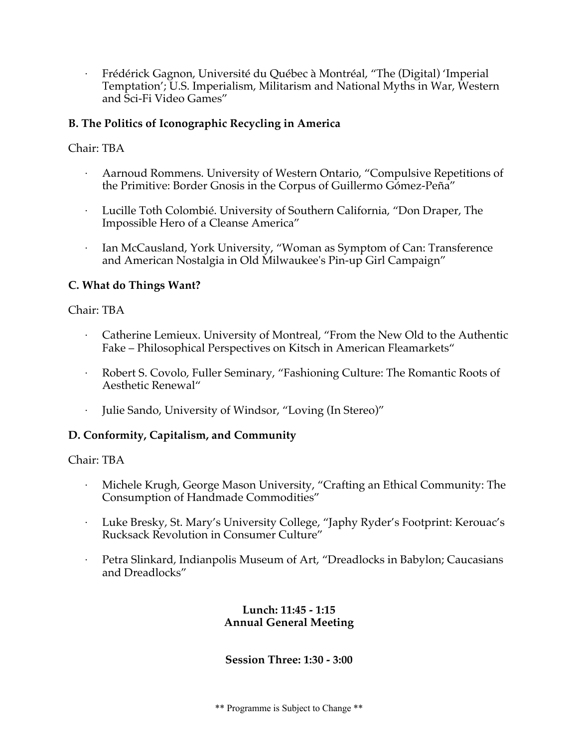· Frédérick Gagnon, Université du Québec à Montréal, "The (Digital) 'Imperial Temptation'; U.S. Imperialism, Militarism and National Myths in War, Western and Sci-Fi Video Games"

# **B. The Politics of Iconographic Recycling in America**

## Chair: TBA

- · Aarnoud Rommens. University of Western Ontario, "Compulsive Repetitions of the Primitive: Border Gnosis in the Corpus of Guillermo Gómez-Peña"
- · Lucille Toth Colombié. University of Southern California, "Don Draper, The Impossible Hero of a Cleanse America"
- Ian McCausland, York University, "Woman as Symptom of Can: Transference and American Nostalgia in Old Milwaukee's Pin-up Girl Campaign"

## **C. What do Things Want?**

## Chair: TBA

- · Catherine Lemieux. University of Montreal, "From the New Old to the Authentic Fake – Philosophical Perspectives on Kitsch in American Fleamarkets"
- · Robert S. Covolo, Fuller Seminary, "Fashioning Culture: The Romantic Roots of Aesthetic Renewal"
- · Julie Sando, University of Windsor, "Loving (In Stereo)"

## **D. Conformity, Capitalism, and Community**

## Chair: TBA

- · Michele Krugh, George Mason University, "Crafting an Ethical Community: The Consumption of Handmade Commodities"
- · Luke Bresky, St. Mary's University College, "Japhy Ryder's Footprint: Kerouac's Rucksack Revolution in Consumer Culture"
- · Petra Slinkard, Indianpolis Museum of Art, "Dreadlocks in Babylon; Caucasians and Dreadlocks"

### **Lunch: 11:45 - 1:15 Annual General Meeting**

## **Session Three: 1:30 - 3:00**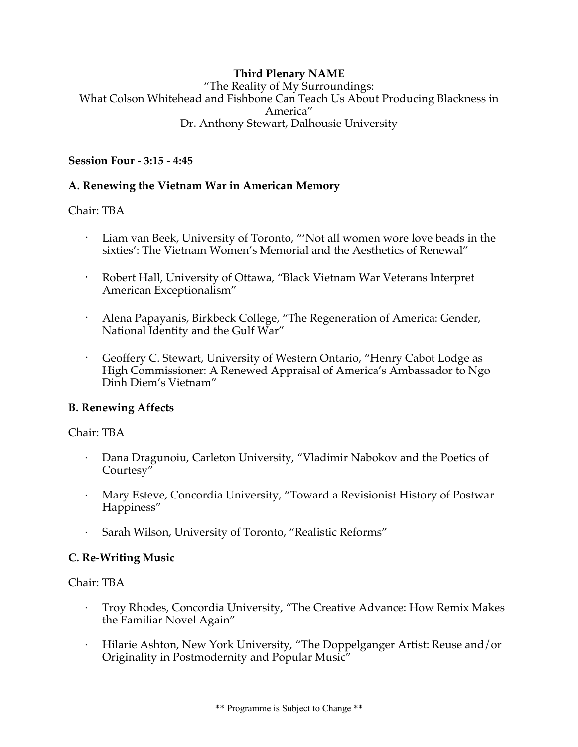# **Third Plenary NAME**

"The Reality of My Surroundings: What Colson Whitehead and Fishbone Can Teach Us About Producing Blackness in America" Dr. Anthony Stewart, Dalhousie University

### **Session Four - 3:15 - 4:45**

### **A. Renewing the Vietnam War in American Memory**

### Chair: TBA

- Liam van Beek, University of Toronto, "'Not all women wore love beads in the sixties': The Vietnam Women's Memorial and the Aesthetics of Renewal"
- · Robert Hall, University of Ottawa, "Black Vietnam War Veterans Interpret American Exceptionalism"
- Alena Papayanis, Birkbeck College, "The Regeneration of America: Gender, National Identity and the Gulf War"
- Geoffery C. Stewart, University of Western Ontario, "Henry Cabot Lodge as High Commissioner: A Renewed Appraisal of America's Ambassador to Ngo Dinh Diem's Vietnam"

## **B. Renewing Affects**

Chair: TBA

- · Dana Dragunoiu, Carleton University, "Vladimir Nabokov and the Poetics of Courtesy"
- · Mary Esteve, Concordia University, "Toward a Revisionist History of Postwar Happiness"
- Sarah Wilson, University of Toronto, "Realistic Reforms"

## **C. Re-Writing Music**

- · Troy Rhodes, Concordia University, "The Creative Advance: How Remix Makes the Familiar Novel Again"
- · Hilarie Ashton, New York University, "The Doppelganger Artist: Reuse and/or Originality in Postmodernity and Popular Music"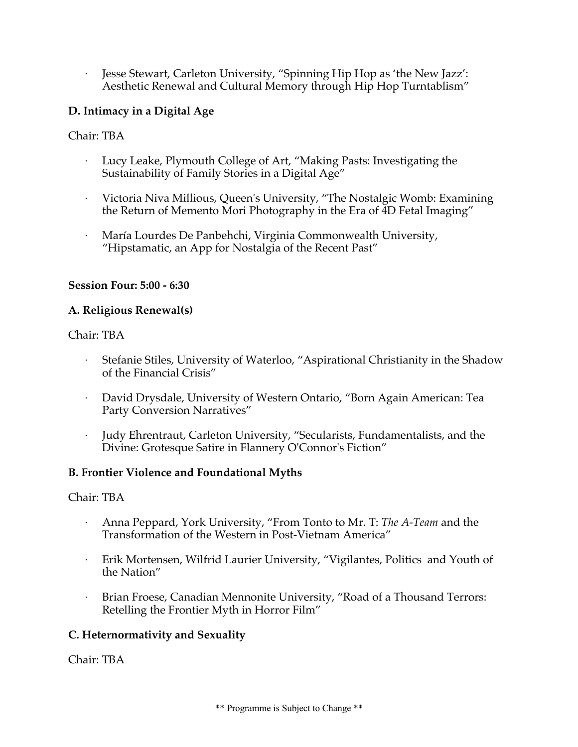· Jesse Stewart, Carleton University, "Spinning Hip Hop as 'the New Jazz': Aesthetic Renewal and Cultural Memory through Hip Hop Turntablism"

# **D. Intimacy in a Digital Age**

## Chair: TBA

- · Lucy Leake, Plymouth College of Art, "Making Pasts: Investigating the Sustainability of Family Stories in a Digital Age"
- · Victoria Niva Millious, Queen's University, "The Nostalgic Womb: Examining the Return of Memento Mori Photography in the Era of 4D Fetal Imaging"
- · María Lourdes De Panbehchi, Virginia Commonwealth University, "Hipstamatic, an App for Nostalgia of the Recent Past"

## **Session Four: 5:00 - 6:30**

## **A. Religious Renewal(s)**

Chair: TBA

- · Stefanie Stiles, University of Waterloo, "Aspirational Christianity in the Shadow of the Financial Crisis"
- · David Drysdale, University of Western Ontario, "Born Again American: Tea Party Conversion Narratives"
- · Judy Ehrentraut, Carleton University, "Secularists, Fundamentalists, and the Divine: Grotesque Satire in Flannery O'Connor's Fiction"

# **B. Frontier Violence and Foundational Myths**

Chair: TBA

- · Anna Peppard, York University, "From Tonto to Mr. T: *The A-Team* and the Transformation of the Western in Post-Vietnam America"
- · Erik Mortensen, Wilfrid Laurier University, "Vigilantes, Politics and Youth of the Nation"
- Brian Froese, Canadian Mennonite University, "Road of a Thousand Terrors: Retelling the Frontier Myth in Horror Film"

# **C. Heternormativity and Sexuality**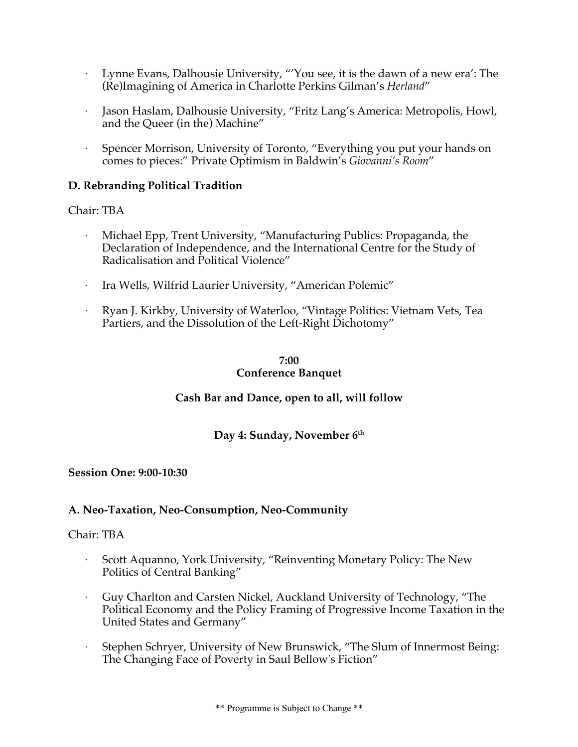- Lynne Evans, Dalhousie University, "'You see, it is the dawn of a new era': The (Re)Imagining of America in Charlotte Perkins Gilman's *Herland*"
- · Jason Haslam, Dalhousie University, "Fritz Lang's America: Metropolis, Howl, and the Queer (in the) Machine"
- Spencer Morrison, University of Toronto, "Everything you put your hands on comes to pieces:" Private Optimism in Baldwin's *Giovanni's Room*"

## **D. Rebranding Political Tradition**

Chair: TBA

- Michael Epp, Trent University, "Manufacturing Publics: Propaganda, the Declaration of Independence, and the International Centre for the Study of Radicalisation and Political Violence"
- · Ira Wells, Wilfrid Laurier University, "American Polemic"
- · Ryan J. Kirkby, University of Waterloo, "Vintage Politics: Vietnam Vets, Tea Partiers, and the Dissolution of the Left-Right Dichotomy"

### **7:00 Conference Banquet**

## **Cash Bar and Dance, open to all, will follow**

#### Day 4: Sunday, November 6<sup>th</sup>

#### **Session One: 9:00-10:30**

#### **A. Neo-Taxation, Neo-Consumption, Neo-Community**

- Scott Aquanno, York University, "Reinventing Monetary Policy: The New Politics of Central Banking"
- Guy Charlton and Carsten Nickel, Auckland University of Technology, "The Political Economy and the Policy Framing of Progressive Income Taxation in the United States and Germany"
- Stephen Schryer, University of New Brunswick, "The Slum of Innermost Being: The Changing Face of Poverty in Saul Bellow's Fiction"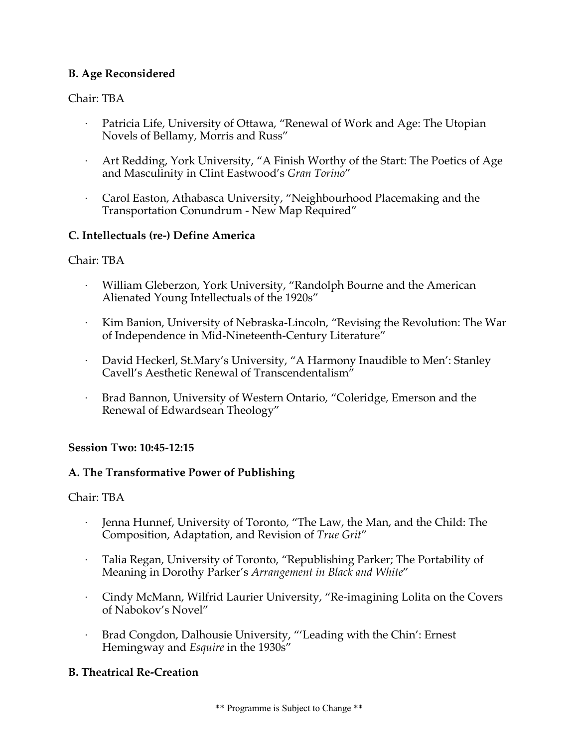# **B. Age Reconsidered**

## Chair: TBA

- Patricia Life, University of Ottawa, "Renewal of Work and Age: The Utopian Novels of Bellamy, Morris and Russ"
- · Art Redding, York University, "A Finish Worthy of the Start: The Poetics of Age and Masculinity in Clint Eastwood's *Gran Torino*"
- · Carol Easton, Athabasca University, "Neighbourhood Placemaking and the Transportation Conundrum - New Map Required"

## **C. Intellectuals (re-) Define America**

## Chair: TBA

- William Gleberzon, York University, "Randolph Bourne and the American Alienated Young Intellectuals of the 1920s"
- Kim Banion, University of Nebraska-Lincoln, "Revising the Revolution: The War of Independence in Mid-Nineteenth-Century Literature"
- · David Heckerl, St.Mary's University, "A Harmony Inaudible to Men': Stanley Cavell's Aesthetic Renewal of Transcendentalism"
- Brad Bannon, University of Western Ontario, "Coleridge, Emerson and the Renewal of Edwardsean Theology"

## **Session Two: 10:45-12:15**

## **A. The Transformative Power of Publishing**

## Chair: TBA

- Jenna Hunnef, University of Toronto, "The Law, the Man, and the Child: The Composition, Adaptation, and Revision of *True Grit*"
- · Talia Regan, University of Toronto, "Republishing Parker; The Portability of Meaning in Dorothy Parker's *Arrangement in Black and White*"
- · Cindy McMann, Wilfrid Laurier University, "Re-imagining Lolita on the Covers of Nabokov's Novel"
- Brad Congdon, Dalhousie University, "'Leading with the Chin': Ernest Hemingway and *Esquire* in the 1930s"

## **B. Theatrical Re-Creation**